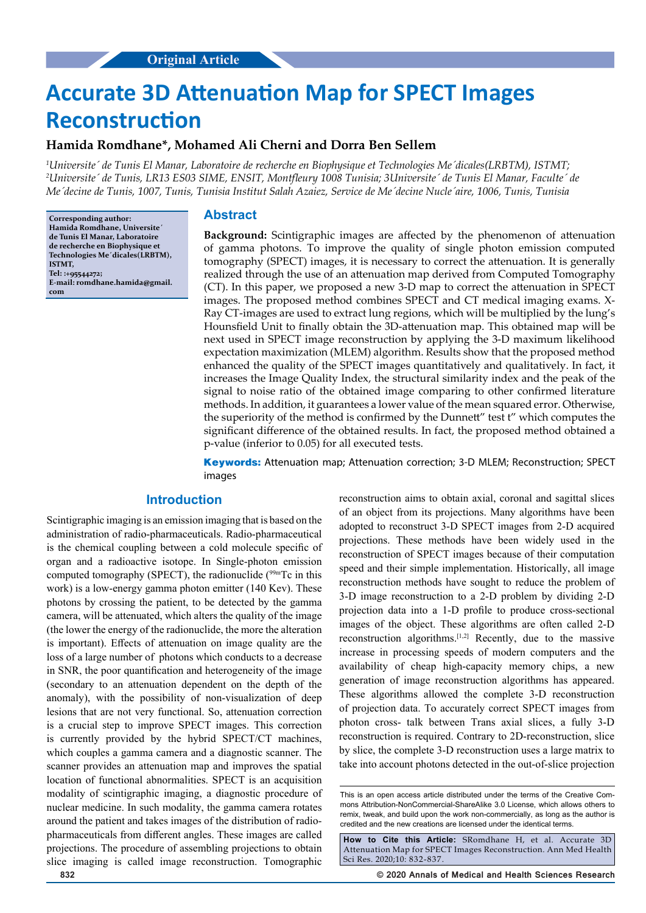# **Accurate 3D Attenuation Map for SPECT Images Reconstruction**

# **Hamida Romdhane\*, Mohamed Ali Cherni and Dorra Ben Sellem**

*1 Universite´ de Tunis El Manar, Laboratoire de recherche en Biophysique et Technologies Me´dicales(LRBTM), ISTMT;*  <sup>2</sup>Universite´ de Tunis, LR13 ES03 SIME, ENSIT, Montfleury 1008 Tunisia; 3Universite´ de Tunis El Manar, Faculte´ de *Me´decine de Tunis, 1007, Tunis, Tunisia Institut Salah Azaiez, Service de Me´decine Nucle´aire, 1006, Tunis, Tunisia*

**Corresponding author: Hamida Romdhane, Universite´ de Tunis El Manar, Laboratoire de recherche en Biophysique et Technologies Me´dicales(LRBTM), ISTMT, Tel: :+95544272; E-mail: romdhane.hamida@gmail. com**

## **Abstract**

**Background:** Scintigraphic images are affected by the phenomenon of attenuation of gamma photons. To improve the quality of single photon emission computed tomography (SPECT) images, it is necessary to correct the attenuation. It is generally realized through the use of an attenuation map derived from Computed Tomography (CT). In this paper, we proposed a new 3-D map to correct the attenuation in SPECT images. The proposed method combines SPECT and CT medical imaging exams. X-Ray CT-images are used to extract lung regions, which will be multiplied by the lung's Hounsfield Unit to finally obtain the 3D-attenuation map. This obtained map will be next used in SPECT image reconstruction by applying the 3-D maximum likelihood expectation maximization (MLEM) algorithm. Results show that the proposed method enhanced the quality of the SPECT images quantitatively and qualitatively. In fact, it increases the Image Quality Index, the structural similarity index and the peak of the signal to noise ratio of the obtained image comparing to other confirmed literature methods. In addition, it guarantees a lower value of the mean squared error. Otherwise, the superiority of the method is confirmed by the Dunnett" test t" which computes the significant difference of the obtained results. In fact, the proposed method obtained a p-value (inferior to 0.05) for all executed tests.

**Keywords:** Attenuation map; Attenuation correction; 3-D MLEM; Reconstruction; SPECT images

# **Introduction**

Scintigraphic imaging is an emission imaging that is based on the administration of radio-pharmaceuticals. Radio-pharmaceutical is the chemical coupling between a cold molecule specific of organ and a radioactive isotope. In Single-photon emission computed tomography (SPECT), the radionuclide (<sup>99mT</sup>c in this work) is a low-energy gamma photon emitter (140 Kev). These photons by crossing the patient, to be detected by the gamma camera, will be attenuated, which alters the quality of the image (the lower the energy of the radionuclide, the more the alteration is important). Effects of attenuation on image quality are the loss of a large number of photons which conducts to a decrease in SNR, the poor quantification and heterogeneity of the image (secondary to an attenuation dependent on the depth of the anomaly), with the possibility of non-visualization of deep lesions that are not very functional. So, attenuation correction is a crucial step to improve SPECT images. This correction is currently provided by the hybrid SPECT/CT machines, which couples a gamma camera and a diagnostic scanner. The scanner provides an attenuation map and improves the spatial location of functional abnormalities. SPECT is an acquisition modality of scintigraphic imaging, a diagnostic procedure of nuclear medicine. In such modality, the gamma camera rotates around the patient and takes images of the distribution of radiopharmaceuticals from different angles. These images are called projections. The procedure of assembling projections to obtain slice imaging is called image reconstruction. Tomographic

reconstruction aims to obtain axial, coronal and sagittal slices of an object from its projections. Many algorithms have been adopted to reconstruct 3-D SPECT images from 2-D acquired projections. These methods have been widely used in the reconstruction of SPECT images because of their computation speed and their simple implementation. Historically, all image reconstruction methods have sought to reduce the problem of 3-D image reconstruction to a 2-D problem by dividing 2-D projection data into a 1-D profile to produce cross-sectional images of the object. These algorithms are often called 2-D reconstruction algorithms.[1,2] Recently, due to the massive increase in processing speeds of modern computers and the availability of cheap high-capacity memory chips, a new generation of image reconstruction algorithms has appeared. These algorithms allowed the complete 3-D reconstruction of projection data. To accurately correct SPECT images from photon cross- talk between Trans axial slices, a fully 3-D reconstruction is required. Contrary to 2D-reconstruction, slice by slice, the complete 3-D reconstruction uses a large matrix to take into account photons detected in the out-of-slice projection

**How to Cite this Article:** SRomdhane H, et al. Accurate 3D Attenuation Map for SPECT Images Reconstruction. Ann Med Health Sci Res. 2020;10: 832-837.

**832 © 2020 Annals of Medical and Health Sciences Research** 

This is an open access article distributed under the terms of the Creative Com‑ mons Attribution-NonCommercial-ShareAlike 3.0 License, which allows others to remix, tweak, and build upon the work non‑commercially, as long as the author is credited and the new creations are licensed under the identical terms.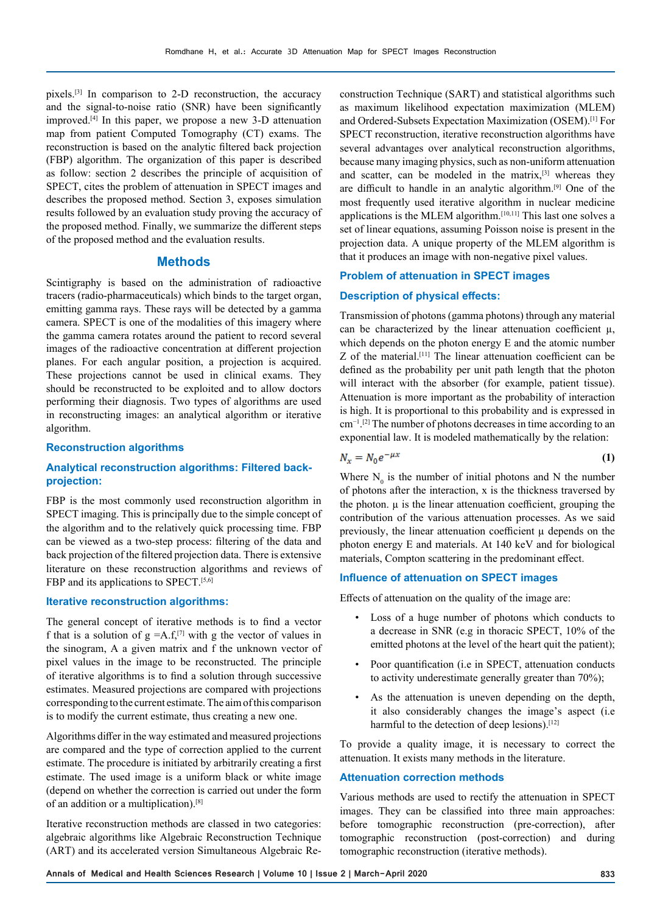pixels.[3] In comparison to 2-D reconstruction, the accuracy and the signal-to-noise ratio (SNR) have been significantly improved.[4] In this paper, we propose a new 3-D attenuation map from patient Computed Tomography (CT) exams. The reconstruction is based on the analytic filtered back projection (FBP) algorithm. The organization of this paper is described as follow: section 2 describes the principle of acquisition of SPECT, cites the problem of attenuation in SPECT images and describes the proposed method. Section 3, exposes simulation results followed by an evaluation study proving the accuracy of the proposed method. Finally, we summarize the different steps of the proposed method and the evaluation results.

# **Methods**

Scintigraphy is based on the administration of radioactive tracers (radio-pharmaceuticals) which binds to the target organ, emitting gamma rays. These rays will be detected by a gamma camera. SPECT is one of the modalities of this imagery where the gamma camera rotates around the patient to record several images of the radioactive concentration at different projection planes. For each angular position, a projection is acquired. These projections cannot be used in clinical exams. They should be reconstructed to be exploited and to allow doctors performing their diagnosis. Two types of algorithms are used in reconstructing images: an analytical algorithm or iterative algorithm.

## **Reconstruction algorithms**

# **Analytical reconstruction algorithms: Filtered backprojection:**

FBP is the most commonly used reconstruction algorithm in SPECT imaging. This is principally due to the simple concept of the algorithm and to the relatively quick processing time. FBP can be viewed as a two-step process: filtering of the data and back projection of the filtered projection data. There is extensive literature on these reconstruction algorithms and reviews of FBP and its applications to SPECT.<sup>[5,6]</sup>

## **Iterative reconstruction algorithms:**

The general concept of iterative methods is to find a vector f that is a solution of  $g = A.f^{[7]}$  with g the vector of values in the sinogram, A a given matrix and f the unknown vector of pixel values in the image to be reconstructed. The principle of iterative algorithms is to find a solution through successive estimates. Measured projections are compared with projections corresponding to the current estimate. The aim of this comparison is to modify the current estimate, thus creating a new one.

Algorithms differ in the way estimated and measured projections are compared and the type of correction applied to the current estimate. The procedure is initiated by arbitrarily creating a first estimate. The used image is a uniform black or white image (depend on whether the correction is carried out under the form of an addition or a multiplication).[8]

Iterative reconstruction methods are classed in two categories: algebraic algorithms like Algebraic Reconstruction Technique (ART) and its accelerated version Simultaneous Algebraic Re-

construction Technique (SART) and statistical algorithms such as maximum likelihood expectation maximization (MLEM) and Ordered-Subsets Expectation Maximization (OSEM).[1] For SPECT reconstruction, iterative reconstruction algorithms have several advantages over analytical reconstruction algorithms, because many imaging physics, such as non-uniform attenuation and scatter, can be modeled in the matrix,[3] whereas they are difficult to handle in an analytic algorithm.[9] One of the most frequently used iterative algorithm in nuclear medicine applications is the MLEM algorithm.[10,11] This last one solves a set of linear equations, assuming Poisson noise is present in the projection data. A unique property of the MLEM algorithm is that it produces an image with non-negative pixel values.

#### **Problem of attenuation in SPECT images**

## **Description of physical effects:**

Transmission of photons (gamma photons) through any material can be characterized by the linear attenuation coefficient  $\mu$ , which depends on the photon energy E and the atomic number Z of the material.[11] The linear attenuation coefficient can be defined as the probability per unit path length that the photon will interact with the absorber (for example, patient tissue). Attenuation is more important as the probability of interaction is high. It is proportional to this probability and is expressed in cm−1. [2] The number of photons decreases in time according to an exponential law. It is modeled mathematically by the relation:

$$
N_x = N_0 e^{-\mu x} \tag{1}
$$

Where  $N_0$  is the number of initial photons and N the number of photons after the interaction, x is the thickness traversed by the photon.  $\mu$  is the linear attenuation coefficient, grouping the contribution of the various attenuation processes. As we said previously, the linear attenuation coefficient  $\mu$  depends on the photon energy E and materials. At 140 keV and for biological materials, Compton scattering in the predominant effect.

#### **Influence of attenuation on SPECT images**

Effects of attenuation on the quality of the image are:

- Loss of a huge number of photons which conducts to a decrease in SNR (e.g in thoracic SPECT, 10% of the emitted photons at the level of the heart quit the patient);
- Poor quantification (i.e in SPECT, attenuation conducts to activity underestimate generally greater than 70%);
- As the attenuation is uneven depending on the depth, it also considerably changes the image's aspect (i.e harmful to the detection of deep lesions).<sup>[12]</sup>

To provide a quality image, it is necessary to correct the attenuation. It exists many methods in the literature.

#### **Attenuation correction methods**

Various methods are used to rectify the attenuation in SPECT images. They can be classified into three main approaches: before tomographic reconstruction (pre-correction), after tomographic reconstruction (post-correction) and during tomographic reconstruction (iterative methods).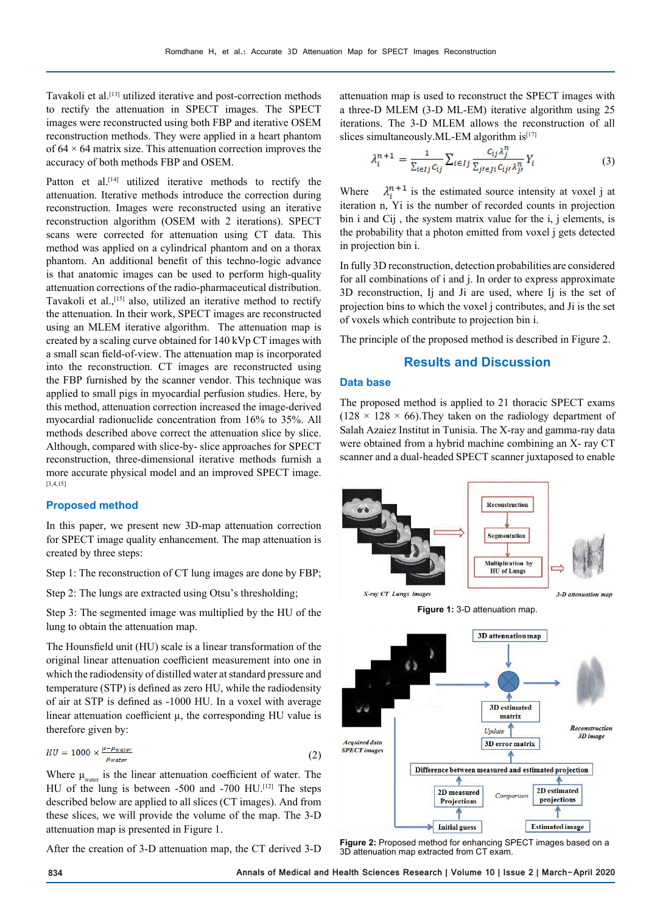Tavakoli et al.<sup>[13]</sup> utilized iterative and post-correction methods to rectify the attenuation in SPECT images. The SPECT images were reconstructed using both FBP and iterative OSEM reconstruction methods. They were applied in a heart phantom of  $64 \times 64$  matrix size. This attenuation correction improves the accuracy of both methods FBP and OSEM.

Patton et al.<sup>[14]</sup> utilized iterative methods to rectify the attenuation. Iterative methods introduce the correction during reconstruction. Images were reconstructed using an iterative reconstruction algorithm (OSEM with 2 iterations). SPECT scans were corrected for attenuation using CT data. This method was applied on a cylindrical phantom and on a thorax phantom. An additional benefit of this techno-logic advance is that anatomic images can be used to perform high-quality attenuation corrections of the radio-pharmaceutical distribution. Tavakoli et al.,<sup>[15]</sup> also, utilized an iterative method to rectify the attenuation. In their work, SPECT images are reconstructed using an MLEM iterative algorithm. The attenuation map is created by a scaling curve obtained for 140 kVp CT images with a small scan field-of-view. The attenuation map is incorporated into the reconstruction. CT images are reconstructed using the FBP furnished by the scanner vendor. This technique was applied to small pigs in myocardial perfusion studies. Here, by this method, attenuation correction increased the image-derived myocardial radionuclide concentration from 16% to 35%. All methods described above correct the attenuation slice by slice. Although, compared with slice-by- slice approaches for SPECT reconstruction, three-dimensional iterative methods furnish a more accurate physical model and an improved SPECT image. [3,4,15]

## **Proposed method**

In this paper, we present new 3D-map attenuation correction for SPECT image quality enhancement. The map attenuation is created by three steps:

Step 1: The reconstruction of CT lung images are done by FBP;

Step 2: The lungs are extracted using Otsu's thresholding;

Step 3: The segmented image was multiplied by the HU of the lung to obtain the attenuation map.

The Hounsfield unit (HU) scale is a linear transformation of the original linear attenuation coefficient measurement into one in which the radiodensity of distilled water at standard pressure and temperature (STP) is defined as zero HU, while the radiodensity of air at STP is defined as -1000 HU. In a voxel with average linear attenuation coefficient  $\mu$ , the corresponding HU value is therefore given by:

$$
HU = 1000 \times \frac{\mu - \mu_{water}}{\mu_{water}} \tag{2}
$$

Where  $\mu_{\text{water}}$  is the linear attenuation coefficient of water. The HU of the lung is between -500 and -700 HU.<sup>[12]</sup> The steps described below are applied to all slices (CT images). And from these slices, we will provide the volume of the map. The 3-D attenuation map is presented in Figure 1.

After the creation of 3-D attenuation map, the CT derived 3-D

attenuation map is used to reconstruct the SPECT images with a three-D MLEM (3-D ML-EM) iterative algorithm using 25 iterations. The 3-D MLEM allows the reconstruction of all slices simultaneously. ML-EM algorithm  $is^{[17]}$ 

$$
\lambda_i^{n+1} = \frac{1}{\sum_{i \in Ij} c_{ij}} \sum_{i \in Ij} \frac{c_{ij} \lambda_j^n}{\sum_{j \in Ji} c_{ijj} \lambda_{jj}^n} Y_i \tag{3}
$$

Where  $\lambda_i^{n+1}$  is the estimated source intensity at voxel j at iteration n, Yi is the number of recorded counts in projection bin i and Cij , the system matrix value for the i, j elements, is the probability that a photon emitted from voxel j gets detected in projection bin i.

In fully 3D reconstruction, detection probabilities are considered for all combinations of i and j. In order to express approximate 3D reconstruction, Ij and Ji are used, where Ij is the set of projection bins to which the voxel j contributes, and Ji is the set of voxels which contribute to projection bin i.

The principle of the proposed method is described in Figure 2.

# **Results and Discussion**

### **Data base**

The proposed method is applied to 21 thoracic SPECT exams  $(128 \times 128 \times 66)$ . They taken on the radiology department of Salah Azaiez Institut in Tunisia. The X-ray and gamma-ray data were obtained from a hybrid machine combining an X- ray CT scanner and a dual-headed SPECT scanner juxtaposed to enable



**Figure 2:** Proposed method for enhancing SPECT images based on a 3D attenuation map extracted from CT exam.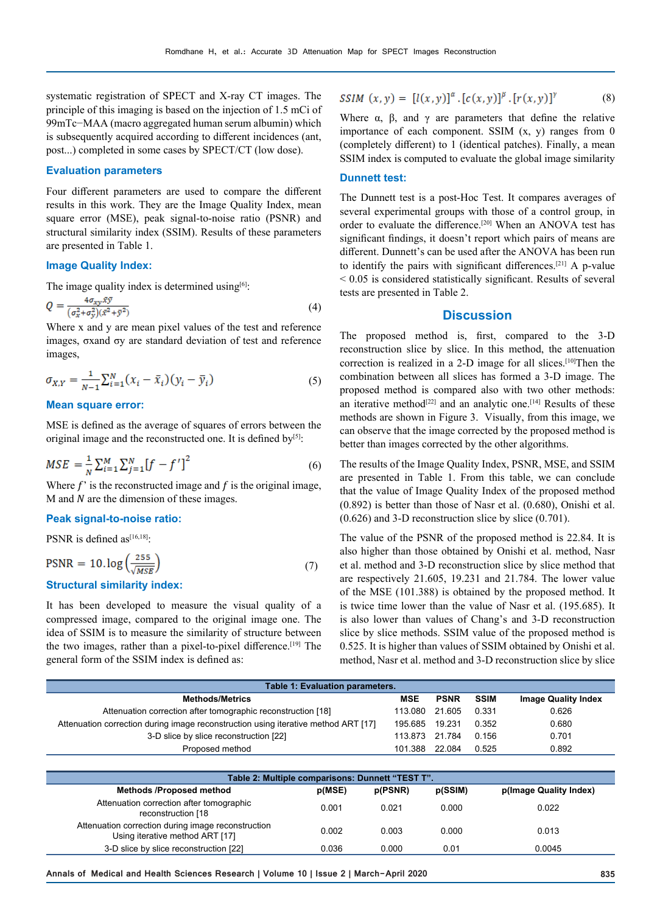systematic registration of SPECT and X-ray CT images. The principle of this imaging is based on the injection of 1.5 mCi of 99mTc−MAA (macro aggregated human serum albumin) which is subsequently acquired according to different incidences (ant, post...) completed in some cases by SPECT/CT (low dose).

## **Evaluation parameters**

Four different parameters are used to compare the different results in this work. They are the Image Quality Index, mean square error (MSE), peak signal-to-noise ratio (PSNR) and structural similarity index (SSIM). Results of these parameters are presented in Table 1.

## **Image Quality Index:**

The image quality index is determined using $[6]$ :

$$
Q = \frac{4\sigma_{xy}xy}{(\sigma_x^2 + \sigma_y^2)(\bar{x}^2 + \bar{y}^2)}\tag{4}
$$

Where x and y are mean pixel values of the test and reference images, σxand σy are standard deviation of test and reference images,

$$
\sigma_{X,Y} = \frac{1}{N-1} \sum_{i=1}^{N} (x_i - \bar{x}_i)(y_i - \bar{y}_i)
$$
\n(5)

#### **Mean square error:**

MSE is defined as the average of squares of errors between the original image and the reconstructed one. It is defined by<sup>[5]</sup>:

$$
MSE = \frac{1}{N} \sum_{i=1}^{M} \sum_{j=1}^{N} [f - f']^{2}
$$
 (6)

Where  $f'$  is the reconstructed image and  $f$  is the original image,  $M$  and  $N$  are the dimension of these images.

### **Peak signal-to-noise ratio:**

PSNR is defined as<sup>[16,18]</sup>:

$$
PSNR = 10. \log \left( \frac{255}{\sqrt{MSE}} \right) \tag{7}
$$

## **Structural similarity index:**

It has been developed to measure the visual quality of a compressed image, compared to the original image one. The idea of SSIM is to measure the similarity of structure between the two images, rather than a pixel-to-pixel difference.<sup>[19]</sup> The general form of the SSIM index is defined as:

$$
SSIM(x, y) = [l(x, y)]^{\alpha} \cdot [c(x, y)]^{\beta} \cdot [r(x, y)]^{\gamma}
$$
 (8)

Where  $\alpha$ ,  $\beta$ , and  $\gamma$  are parameters that define the relative importance of each component. SSIM  $(x, y)$  ranges from 0 (completely different) to 1 (identical patches). Finally, a mean SSIM index is computed to evaluate the global image similarity

## **Dunnett test:**

The Dunnett test is a post-Hoc Test. It compares averages of several experimental groups with those of a control group, in order to evaluate the difference.<sup>[20]</sup> When an ANOVA test has significant findings, it doesn't report which pairs of means are different. Dunnett's can be used after the ANOVA has been run to identify the pairs with significant differences.[21] A p-value < 0.05 is considered statistically significant. Results of several tests are presented in Table 2.

# **Discussion**

The proposed method is, first, compared to the 3-D reconstruction slice by slice. In this method, the attenuation correction is realized in a 2-D image for all slices.<sup>[10]</sup>Then the combination between all slices has formed a 3-D image. The proposed method is compared also with two other methods: an iterative method<sup>[22]</sup> and an analytic one.<sup>[14]</sup> Results of these methods are shown in Figure 3. Visually, from this image, we can observe that the image corrected by the proposed method is better than images corrected by the other algorithms.

The results of the Image Quality Index, PSNR, MSE, and SSIM are presented in Table 1. From this table, we can conclude that the value of Image Quality Index of the proposed method (0.892) is better than those of Nasr et al. (0.680), Onishi et al. (0.626) and 3-D reconstruction slice by slice (0.701).

The value of the PSNR of the proposed method is 22.84. It is also higher than those obtained by Onishi et al. method, Nasr et al. method and 3-D reconstruction slice by slice method that are respectively 21.605, 19.231 and 21.784. The lower value of the MSE (101.388) is obtained by the proposed method. It is twice time lower than the value of Nasr et al. (195.685). It is also lower than values of Chang's and 3-D reconstruction slice by slice methods. SSIM value of the proposed method is 0.525. It is higher than values of SSIM obtained by Onishi et al. method, Nasr et al. method and 3-D reconstruction slice by slice

| Table 1: Evaluation parameters.                                                    |            |             |             |                            |  |  |  |
|------------------------------------------------------------------------------------|------------|-------------|-------------|----------------------------|--|--|--|
| <b>Methods/Metrics</b>                                                             | <b>MSE</b> | <b>PSNR</b> | <b>SSIM</b> | <b>Image Quality Index</b> |  |  |  |
| Attenuation correction after tomographic reconstruction [18]                       | 113.080    | 21.605      | 0.331       | 0.626                      |  |  |  |
| Attenuation correction during image reconstruction using iterative method ART [17] | 195.685    | 19.231      | 0.352       | 0.680                      |  |  |  |
| 3-D slice by slice reconstruction [22]                                             | 113.873    | 21.784      | 0.156       | 0.701                      |  |  |  |
| Proposed method                                                                    | 101.388    | 22.084      | 0.525       | 0.892                      |  |  |  |

| Table 2: Multiple comparisons: Dunnett "TEST T".                                      |        |         |         |                        |  |  |
|---------------------------------------------------------------------------------------|--------|---------|---------|------------------------|--|--|
| <b>Methods /Proposed method</b>                                                       | p(MSE) | p(PSNR) | p(SSIM) | p(Image Quality Index) |  |  |
| Attenuation correction after tomographic<br>reconstruction [18                        | 0.001  | 0.021   | 0.000   | 0.022                  |  |  |
| Attenuation correction during image reconstruction<br>Using iterative method ART [17] | 0.002  | 0.003   | 0.000   | 0.013                  |  |  |
| 3-D slice by slice reconstruction [22]                                                | 0.036  | 0.000   | 0.01    | 0.0045                 |  |  |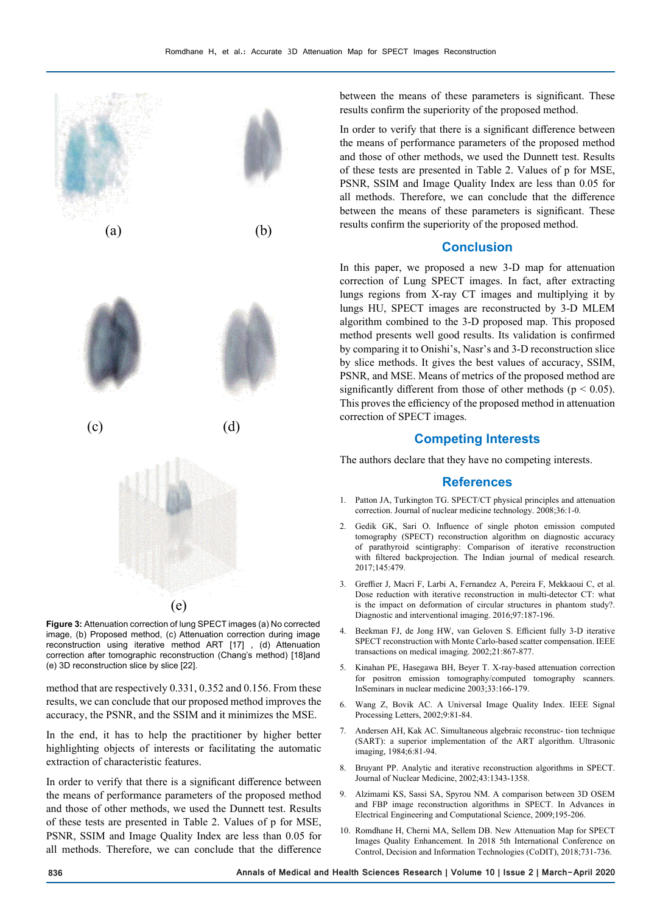

**Figure 3:** Attenuation correction of lung SPECT images (a) No corrected image, (b) Proposed method, (c) Attenuation correction during image reconstruction using iterative method ART [17] , (d) Attenuation correction after tomographic reconstruction (Chang's method) [18]and (e) 3D reconstruction slice by slice [22].

method that are respectively 0.331, 0.352 and 0.156. From these results, we can conclude that our proposed method improves the accuracy, the PSNR, and the SSIM and it minimizes the MSE.

In the end, it has to help the practitioner by higher better highlighting objects of interests or facilitating the automatic extraction of characteristic features.

In order to verify that there is a significant difference between the means of performance parameters of the proposed method and those of other methods, we used the Dunnett test. Results of these tests are presented in Table 2. Values of p for MSE, PSNR, SSIM and Image Quality Index are less than 0.05 for all methods. Therefore, we can conclude that the difference

between the means of these parameters is significant. These results confirm the superiority of the proposed method.

In order to verify that there is a significant difference between the means of performance parameters of the proposed method and those of other methods, we used the Dunnett test. Results of these tests are presented in Table 2. Values of p for MSE, PSNR, SSIM and Image Quality Index are less than 0.05 for all methods. Therefore, we can conclude that the difference between the means of these parameters is significant. These results confirm the superiority of the proposed method.

# **Conclusion**

In this paper, we proposed a new 3-D map for attenuation correction of Lung SPECT images. In fact, after extracting lungs regions from X-ray CT images and multiplying it by lungs HU, SPECT images are reconstructed by 3-D MLEM algorithm combined to the 3-D proposed map. This proposed method presents well good results. Its validation is confirmed by comparing it to Onishi's, Nasr's and 3-D reconstruction slice by slice methods. It gives the best values of accuracy, SSIM, PSNR, and MSE. Means of metrics of the proposed method are significantly different from those of other methods ( $p < 0.05$ ). This proves the efficiency of the proposed method in attenuation correction of SPECT images.

## **Competing Interests**

The authors declare that they have no competing interests.

## **References**

- 1. Patton JA, Turkington TG. SPECT/CT physical principles and attenuation correction. Journal of nuclear medicine technology. 2008;36:1-0.
- 2. Gedik GK, Sari O. Influence of single photon emission computed tomography (SPECT) reconstruction algorithm on diagnostic accuracy of parathyroid scintigraphy: Comparison of iterative reconstruction with filtered backprojection. The Indian journal of medical research. 2017;145:479.
- 3. Greffier J, Macri F, Larbi A, Fernandez A, Pereira F, Mekkaoui C, et al. Dose reduction with iterative reconstruction in multi-detector CT: what is the impact on deformation of circular structures in phantom study?. Diagnostic and interventional imaging. 2016;97:187-196.
- 4. Beekman FJ, de Jong HW, van Geloven S. Efficient fully 3-D iterative SPECT reconstruction with Monte Carlo-based scatter compensation. IEEE transactions on medical imaging. 2002;21:867-877.
- 5. Kinahan PE, Hasegawa BH, Beyer T. X-ray-based attenuation correction for positron emission tomography/computed tomography scanners. InSeminars in nuclear medicine 2003;33:166-179.
- 6. Wang Z, Bovik AC. A Universal Image Quality Index. IEEE Signal Processing Letters, 2002;9:81-84.
- 7. Andersen AH, Kak AC. Simultaneous algebraic reconstruc- tion technique (SART): a superior implementation of the ART algorithm. Ultrasonic imaging, 1984;6:81-94.
- 8. Bruyant PP. Analytic and iterative reconstruction algorithms in SPECT. Journal of Nuclear Medicine, 2002;43:1343-1358.
- 9. Alzimami KS, Sassi SA, Spyrou NM. A comparison between 3D OSEM and FBP image reconstruction algorithms in SPECT. In Advances in Electrical Engineering and Computational Science, 2009;195-206.
- 10. Romdhane H, Cherni MA, Sellem DB. New Attenuation Map for SPECT Images Quality Enhancement. In 2018 5th International Conference on Control, Decision and Information Technologies (CoDIT), 2018;731-736.